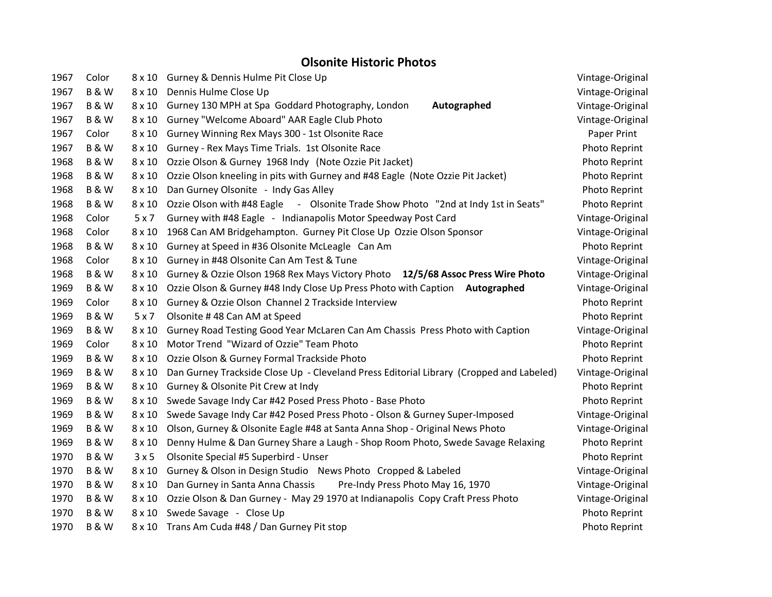## **Olsonite Historic Photos**

| 1967 | Color          |               | 8 x 10 Gurney & Dennis Hulme Pit Close Up                                               | Vintage-Original     |
|------|----------------|---------------|-----------------------------------------------------------------------------------------|----------------------|
| 1967 | <b>B&amp;W</b> | $8 \times 10$ | Dennis Hulme Close Up                                                                   | Vintage-Original     |
| 1967 | <b>B&amp;W</b> | $8 \times 10$ | Gurney 130 MPH at Spa Goddard Photography, London<br>Autographed                        | Vintage-Original     |
| 1967 | <b>B&amp;W</b> |               | 8 x 10 Gurney "Welcome Aboard" AAR Eagle Club Photo                                     | Vintage-Original     |
| 1967 | Color          | $8 \times 10$ | Gurney Winning Rex Mays 300 - 1st Olsonite Race                                         | Paper Print          |
| 1967 | <b>B&amp;W</b> | $8 \times 10$ | Gurney - Rex Mays Time Trials. 1st Olsonite Race                                        | Photo Reprint        |
| 1968 | <b>B&amp;W</b> | $8 \times 10$ | Ozzie Olson & Gurney 1968 Indy (Note Ozzie Pit Jacket)                                  | Photo Reprint        |
| 1968 | <b>B&amp;W</b> | $8 \times 10$ | Ozzie Olson kneeling in pits with Gurney and #48 Eagle (Note Ozzie Pit Jacket)          | Photo Reprint        |
| 1968 | <b>B&amp;W</b> | $8 \times 10$ | Dan Gurney Olsonite - Indy Gas Alley                                                    | Photo Reprint        |
| 1968 | <b>B&amp;W</b> | $8 \times 10$ | Ozzie Olson with #48 Eagle - Olsonite Trade Show Photo "2nd at Indy 1st in Seats"       | Photo Reprint        |
| 1968 | Color          | 5x7           | Gurney with #48 Eagle - Indianapolis Motor Speedway Post Card                           | Vintage-Original     |
| 1968 | Color          | $8 \times 10$ | 1968 Can AM Bridgehampton. Gurney Pit Close Up Ozzie Olson Sponsor                      | Vintage-Original     |
| 1968 | <b>B&amp;W</b> | $8 \times 10$ | Gurney at Speed in #36 Olsonite McLeagle Can Am                                         | Photo Reprint        |
| 1968 | Color          | $8 \times 10$ | Gurney in #48 Olsonite Can Am Test & Tune                                               | Vintage-Original     |
| 1968 | <b>B&amp;W</b> | $8 \times 10$ | Gurney & Ozzie Olson 1968 Rex Mays Victory Photo 12/5/68 Assoc Press Wire Photo         | Vintage-Original     |
| 1969 | <b>B&amp;W</b> | $8 \times 10$ | Ozzie Olson & Gurney #48 Indy Close Up Press Photo with Caption Autographed             | Vintage-Original     |
| 1969 | Color          | $8 \times 10$ | Gurney & Ozzie Olson Channel 2 Trackside Interview                                      | Photo Reprint        |
| 1969 | <b>B&amp;W</b> | 5x7           | Olsonite #48 Can AM at Speed                                                            | Photo Reprint        |
| 1969 | <b>B&amp;W</b> | $8 \times 10$ | Gurney Road Testing Good Year McLaren Can Am Chassis Press Photo with Caption           | Vintage-Original     |
| 1969 | Color          | $8 \times 10$ | Motor Trend "Wizard of Ozzie" Team Photo                                                | Photo Reprint        |
| 1969 | <b>B&amp;W</b> | $8 \times 10$ | Ozzie Olson & Gurney Formal Trackside Photo                                             | Photo Reprint        |
| 1969 | <b>B&amp;W</b> | $8 \times 10$ | Dan Gurney Trackside Close Up - Cleveland Press Editorial Library (Cropped and Labeled) | Vintage-Original     |
| 1969 | <b>B&amp;W</b> | $8 \times 10$ | Gurney & Olsonite Pit Crew at Indy                                                      | Photo Reprint        |
| 1969 | <b>B&amp;W</b> | $8 \times 10$ | Swede Savage Indy Car #42 Posed Press Photo - Base Photo                                | Photo Reprint        |
| 1969 | <b>B&amp;W</b> | $8 \times 10$ | Swede Savage Indy Car #42 Posed Press Photo - Olson & Gurney Super-Imposed              | Vintage-Original     |
| 1969 | <b>B&amp;W</b> | $8 \times 10$ | Olson, Gurney & Olsonite Eagle #48 at Santa Anna Shop - Original News Photo             | Vintage-Original     |
| 1969 | <b>B&amp;W</b> | $8 \times 10$ | Denny Hulme & Dan Gurney Share a Laugh - Shop Room Photo, Swede Savage Relaxing         | Photo Reprint        |
| 1970 | <b>B&amp;W</b> | 3x5           | Olsonite Special #5 Superbird - Unser                                                   | Photo Reprint        |
| 1970 | <b>B&amp;W</b> | $8 \times 10$ | Gurney & Olson in Design Studio News Photo Cropped & Labeled                            | Vintage-Original     |
| 1970 | <b>B&amp;W</b> | $8 \times 10$ | Dan Gurney in Santa Anna Chassis<br>Pre-Indy Press Photo May 16, 1970                   | Vintage-Original     |
| 1970 | <b>B&amp;W</b> | $8 \times 10$ | Ozzie Olson & Dan Gurney - May 29 1970 at Indianapolis Copy Craft Press Photo           | Vintage-Original     |
| 1970 | <b>B&amp;W</b> | $8 \times 10$ | Swede Savage - Close Up                                                                 | Photo Reprint        |
| 1970 | <b>B&amp;W</b> |               | 8 x 10 Trans Am Cuda #48 / Dan Gurney Pit stop                                          | <b>Photo Reprint</b> |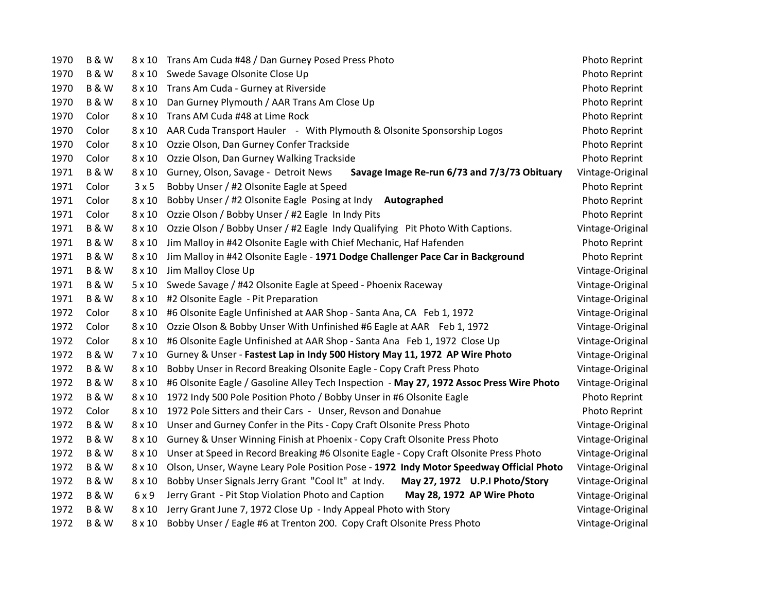| 1970 | <b>B&amp;W</b> |               | 8 x 10 Trans Am Cuda #48 / Dan Gurney Posed Press Photo                                  | Photo Reprint    |
|------|----------------|---------------|------------------------------------------------------------------------------------------|------------------|
| 1970 | <b>B&amp;W</b> | $8 \times 10$ | Swede Savage Olsonite Close Up                                                           | Photo Reprint    |
| 1970 | B&W            | $8 \times 10$ | Trans Am Cuda - Gurney at Riverside                                                      | Photo Reprint    |
| 1970 | <b>B&amp;W</b> | $8 \times 10$ | Dan Gurney Plymouth / AAR Trans Am Close Up                                              | Photo Reprint    |
| 1970 | Color          | $8 \times 10$ | Trans AM Cuda #48 at Lime Rock                                                           | Photo Reprint    |
| 1970 | Color          | $8 \times 10$ | AAR Cuda Transport Hauler - With Plymouth & Olsonite Sponsorship Logos                   | Photo Reprint    |
| 1970 | Color          | $8 \times 10$ | Ozzie Olson, Dan Gurney Confer Trackside                                                 | Photo Reprint    |
| 1970 | Color          | $8 \times 10$ | Ozzie Olson, Dan Gurney Walking Trackside                                                | Photo Reprint    |
| 1971 | <b>B&amp;W</b> | $8 \times 10$ | Gurney, Olson, Savage - Detroit News<br>Savage Image Re-run 6/73 and 7/3/73 Obituary     | Vintage-Original |
| 1971 | Color          | 3x5           | Bobby Unser / #2 Olsonite Eagle at Speed                                                 | Photo Reprint    |
| 1971 | Color          | $8 \times 10$ | Bobby Unser / #2 Olsonite Eagle Posing at Indy Autographed                               | Photo Reprint    |
| 1971 | Color          | $8 \times 10$ | Ozzie Olson / Bobby Unser / #2 Eagle In Indy Pits                                        | Photo Reprint    |
| 1971 | B&W            | $8 \times 10$ | Ozzie Olson / Bobby Unser / #2 Eagle Indy Qualifying Pit Photo With Captions.            | Vintage-Original |
| 1971 | <b>B&amp;W</b> | $8 \times 10$ | Jim Malloy in #42 Olsonite Eagle with Chief Mechanic, Haf Hafenden                       | Photo Reprint    |
| 1971 | <b>B&amp;W</b> | $8 \times 10$ | Jim Malloy in #42 Olsonite Eagle - 1971 Dodge Challenger Pace Car in Background          | Photo Reprint    |
| 1971 | <b>B&amp;W</b> | $8 \times 10$ | Jim Malloy Close Up                                                                      | Vintage-Original |
| 1971 | <b>B&amp;W</b> | $5 \times 10$ | Swede Savage / #42 Olsonite Eagle at Speed - Phoenix Raceway                             | Vintage-Original |
| 1971 | <b>B&amp;W</b> | $8 \times 10$ | #2 Olsonite Eagle - Pit Preparation                                                      | Vintage-Original |
| 1972 | Color          | $8 \times 10$ | #6 Olsonite Eagle Unfinished at AAR Shop - Santa Ana, CA Feb 1, 1972                     | Vintage-Original |
| 1972 | Color          | $8 \times 10$ | Ozzie Olson & Bobby Unser With Unfinished #6 Eagle at AAR Feb 1, 1972                    | Vintage-Original |
| 1972 | Color          | $8 \times 10$ | #6 Olsonite Eagle Unfinished at AAR Shop - Santa Ana Feb 1, 1972 Close Up                | Vintage-Original |
| 1972 | <b>B&amp;W</b> | $7 \times 10$ | Gurney & Unser - Fastest Lap in Indy 500 History May 11, 1972 AP Wire Photo              | Vintage-Original |
| 1972 | <b>B&amp;W</b> | $8 \times 10$ | Bobby Unser in Record Breaking Olsonite Eagle - Copy Craft Press Photo                   | Vintage-Original |
| 1972 | <b>B&amp;W</b> | $8 \times 10$ | #6 Olsonite Eagle / Gasoline Alley Tech Inspection - May 27, 1972 Assoc Press Wire Photo | Vintage-Original |
| 1972 | <b>B&amp;W</b> | $8 \times 10$ | 1972 Indy 500 Pole Position Photo / Bobby Unser in #6 Olsonite Eagle                     | Photo Reprint    |
| 1972 | Color          | $8 \times 10$ | 1972 Pole Sitters and their Cars - Unser, Revson and Donahue                             | Photo Reprint    |
| 1972 | <b>B&amp;W</b> | $8 \times 10$ | Unser and Gurney Confer in the Pits - Copy Craft Olsonite Press Photo                    | Vintage-Original |
| 1972 | <b>B&amp;W</b> | $8 \times 10$ | Gurney & Unser Winning Finish at Phoenix - Copy Craft Olsonite Press Photo               | Vintage-Original |
| 1972 | <b>B&amp;W</b> | $8 \times 10$ | Unser at Speed in Record Breaking #6 Olsonite Eagle - Copy Craft Olsonite Press Photo    | Vintage-Original |
| 1972 | <b>B&amp;W</b> | $8 \times 10$ | Olson, Unser, Wayne Leary Pole Position Pose - 1972 Indy Motor Speedway Official Photo   | Vintage-Original |
| 1972 | <b>B&amp;W</b> | $8 \times 10$ | Bobby Unser Signals Jerry Grant "Cool It" at Indy.<br>May 27, 1972 U.P.I Photo/Story     | Vintage-Original |
| 1972 | <b>B&amp;W</b> | 6x9           | Jerry Grant - Pit Stop Violation Photo and Caption<br>May 28, 1972 AP Wire Photo         | Vintage-Original |
| 1972 | <b>B&amp;W</b> | $8 \times 10$ | Jerry Grant June 7, 1972 Close Up - Indy Appeal Photo with Story                         | Vintage-Original |
| 1972 | <b>B&amp;W</b> | $8 \times 10$ | Bobby Unser / Eagle #6 at Trenton 200. Copy Craft Olsonite Press Photo                   | Vintage-Original |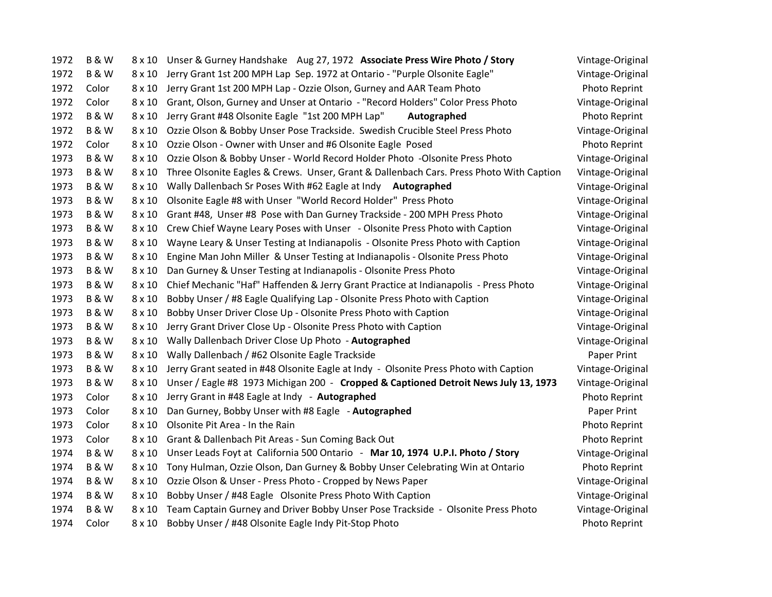| 1972 | <b>B&amp;W</b> |               | 8 x 10 Unser & Gurney Handshake Aug 27, 1972 Associate Press Wire Photo / Story         | Vintage-Original |
|------|----------------|---------------|-----------------------------------------------------------------------------------------|------------------|
| 1972 | <b>B&amp;W</b> | 8 x 10        | Jerry Grant 1st 200 MPH Lap Sep. 1972 at Ontario - "Purple Olsonite Eagle"              | Vintage-Original |
| 1972 | Color          | $8 \times 10$ | Jerry Grant 1st 200 MPH Lap - Ozzie Olson, Gurney and AAR Team Photo                    | Photo Reprint    |
| 1972 | Color          | $8 \times 10$ | Grant, Olson, Gurney and Unser at Ontario - "Record Holders" Color Press Photo          | Vintage-Original |
| 1972 | <b>B&amp;W</b> | $8 \times 10$ | Jerry Grant #48 Olsonite Eagle "1st 200 MPH Lap"<br>Autographed                         | Photo Reprint    |
| 1972 | <b>B&amp;W</b> | $8 \times 10$ | Ozzie Olson & Bobby Unser Pose Trackside. Swedish Crucible Steel Press Photo            | Vintage-Original |
| 1972 | Color          | $8 \times 10$ | Ozzie Olson - Owner with Unser and #6 Olsonite Eagle Posed                              | Photo Reprint    |
| 1973 | <b>B&amp;W</b> | $8 \times 10$ | Ozzie Olson & Bobby Unser - World Record Holder Photo -Olsonite Press Photo             | Vintage-Original |
| 1973 | <b>B&amp;W</b> | $8 \times 10$ | Three Olsonite Eagles & Crews. Unser, Grant & Dallenbach Cars. Press Photo With Caption | Vintage-Original |
| 1973 | <b>B&amp;W</b> | $8 \times 10$ | Wally Dallenbach Sr Poses With #62 Eagle at Indy Autographed                            | Vintage-Original |
| 1973 | <b>B&amp;W</b> | $8 \times 10$ | Olsonite Eagle #8 with Unser "World Record Holder" Press Photo                          | Vintage-Original |
| 1973 | <b>B&amp;W</b> | $8 \times 10$ | Grant #48, Unser #8 Pose with Dan Gurney Trackside - 200 MPH Press Photo                | Vintage-Original |
| 1973 | <b>B&amp;W</b> | $8 \times 10$ | Crew Chief Wayne Leary Poses with Unser - Olsonite Press Photo with Caption             | Vintage-Original |
| 1973 | <b>B&amp;W</b> | $8 \times 10$ | Wayne Leary & Unser Testing at Indianapolis - Olsonite Press Photo with Caption         | Vintage-Original |
| 1973 | <b>B&amp;W</b> | $8 \times 10$ | Engine Man John Miller & Unser Testing at Indianapolis - Olsonite Press Photo           | Vintage-Original |
| 1973 | <b>B&amp;W</b> | $8 \times 10$ | Dan Gurney & Unser Testing at Indianapolis - Olsonite Press Photo                       | Vintage-Original |
| 1973 | <b>B&amp;W</b> | $8 \times 10$ | Chief Mechanic "Haf" Haffenden & Jerry Grant Practice at Indianapolis - Press Photo     | Vintage-Original |
| 1973 | <b>B&amp;W</b> | $8 \times 10$ | Bobby Unser / #8 Eagle Qualifying Lap - Olsonite Press Photo with Caption               | Vintage-Original |
| 1973 | <b>B&amp;W</b> | $8 \times 10$ | Bobby Unser Driver Close Up - Olsonite Press Photo with Caption                         | Vintage-Original |
| 1973 | <b>B&amp;W</b> | $8 \times 10$ | Jerry Grant Driver Close Up - Olsonite Press Photo with Caption                         | Vintage-Original |
| 1973 | <b>B&amp;W</b> | $8 \times 10$ | Wally Dallenbach Driver Close Up Photo - Autographed                                    | Vintage-Original |
| 1973 | <b>B&amp;W</b> | $8 \times 10$ | Wally Dallenbach / #62 Olsonite Eagle Trackside                                         | Paper Print      |
| 1973 | <b>B&amp;W</b> | $8 \times 10$ | Jerry Grant seated in #48 Olsonite Eagle at Indy - Olsonite Press Photo with Caption    | Vintage-Original |
| 1973 | <b>B&amp;W</b> | $8 \times 10$ | Unser / Eagle #8 1973 Michigan 200 - Cropped & Captioned Detroit News July 13, 1973     | Vintage-Original |
| 1973 | Color          | $8 \times 10$ | Jerry Grant in #48 Eagle at Indy - Autographed                                          | Photo Reprint    |
| 1973 | Color          | $8 \times 10$ | Dan Gurney, Bobby Unser with #8 Eagle - Autographed                                     | Paper Print      |
| 1973 | Color          | $8 \times 10$ | Olsonite Pit Area - In the Rain                                                         | Photo Reprint    |
| 1973 | Color          | $8 \times 10$ | Grant & Dallenbach Pit Areas - Sun Coming Back Out                                      | Photo Reprint    |
| 1974 | <b>B&amp;W</b> | $8 \times 10$ | Unser Leads Foyt at California 500 Ontario - Mar 10, 1974 U.P.I. Photo / Story          | Vintage-Original |
| 1974 | <b>B&amp;W</b> | $8 \times 10$ | Tony Hulman, Ozzie Olson, Dan Gurney & Bobby Unser Celebrating Win at Ontario           | Photo Reprint    |
| 1974 | <b>B&amp;W</b> | $8 \times 10$ | Ozzie Olson & Unser - Press Photo - Cropped by News Paper                               | Vintage-Original |
| 1974 | <b>B&amp;W</b> | $8 \times 10$ | Bobby Unser / #48 Eagle Olsonite Press Photo With Caption                               | Vintage-Original |
| 1974 | <b>B&amp;W</b> | $8 \times 10$ | Team Captain Gurney and Driver Bobby Unser Pose Trackside - Olsonite Press Photo        | Vintage-Original |
| 1974 | Color          | 8 x 10        | Bobby Unser / #48 Olsonite Eagle Indy Pit-Stop Photo                                    | Photo Reprint    |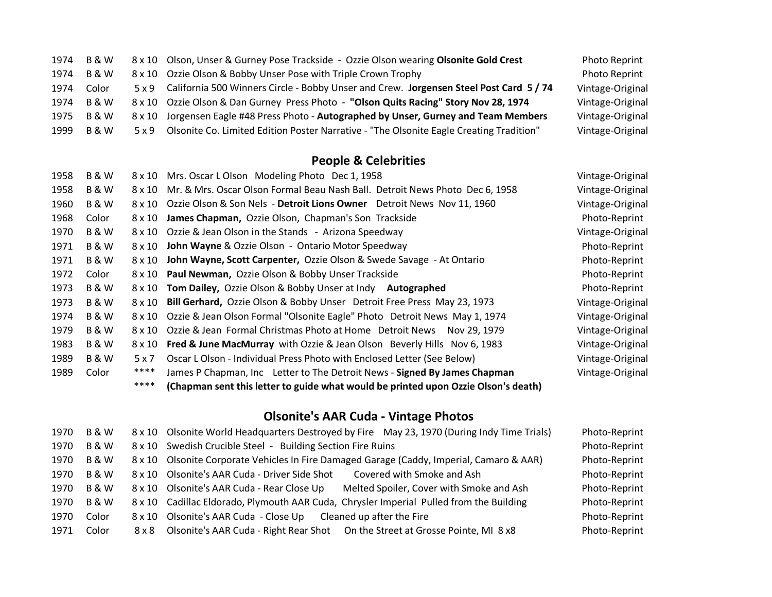|      | 1974 B & W       | 8 x 10 Olson, Unser & Gurney Pose Trackside - Ozzie Olson wearing Olsonite Gold Crest         | <b>Photo Reprint</b> |
|------|------------------|-----------------------------------------------------------------------------------------------|----------------------|
| 1974 | 8 & W            | 8 x 10 Ozzie Olson & Bobby Unser Pose with Triple Crown Trophy                                | <b>Photo Reprint</b> |
| 1974 | Color            | 5 x 9 California 500 Winners Circle - Bobby Unser and Crew. Jorgensen Steel Post Card 5 / 74  | Vintage-Original     |
|      | 1974 B & W       | 8 x 10 Ozzie Olson & Dan Gurney Press Photo - "Olson Quits Racing" Story Nov 28, 1974         | Vintage-Original     |
|      | 1975 B & W       | 8 x 10 Jorgensen Eagle #48 Press Photo - Autographed by Unser, Gurney and Team Members        | Vintage-Original     |
| 1999 | <b>B &amp; W</b> | 5 x 9 Olsonite Co. Limited Edition Poster Narrative - "The Olsonite Eagle Creating Tradition" | Vintage-Original     |

## **People & Celebrities**

| <b>B&amp;W</b>                  | Mrs. Oscar L Olson Modeling Photo Dec 1, 1958                                      | Vintage-Original                                                                             |
|---------------------------------|------------------------------------------------------------------------------------|----------------------------------------------------------------------------------------------|
| <b>B&amp;W</b><br>$8 \times 10$ | Mr. & Mrs. Oscar Olson Formal Beau Nash Ball. Detroit News Photo Dec 6, 1958       | Vintage-Original                                                                             |
| <b>B&amp;W</b><br>8 x 10        | Ozzie Olson & Son Nels - Detroit Lions Owner Detroit News Nov 11, 1960             | Vintage-Original                                                                             |
| 8 x 10                          | James Chapman, Ozzie Olson, Chapman's Son Trackside                                | Photo-Reprint                                                                                |
| <b>B&amp;W</b><br>8 x 10        | Ozzie & Jean Olson in the Stands - Arizona Speedway                                | Vintage-Original                                                                             |
| <b>B&amp;W</b><br>8 x 10        | John Wayne & Ozzie Olson - Ontario Motor Speedway                                  | Photo-Reprint                                                                                |
| <b>B&amp;W</b><br>$8 \times 10$ | John Wayne, Scott Carpenter, Ozzie Olson & Swede Savage - At Ontario               | Photo-Reprint                                                                                |
|                                 |                                                                                    | Photo-Reprint                                                                                |
| <b>B&amp;W</b><br>8 x 10        | Tom Dailey, Ozzie Olson & Bobby Unser at Indy Autographed                          | Photo-Reprint                                                                                |
| <b>B&amp;W</b>                  | Bill Gerhard, Ozzie Olson & Bobby Unser Detroit Free Press May 23, 1973            | Vintage-Original                                                                             |
| <b>B&amp;W</b>                  | Ozzie & Jean Olson Formal "Olsonite Eagle" Photo Detroit News May 1, 1974          | Vintage-Original                                                                             |
| <b>B&amp;W</b><br>8 x 10        | Ozzie & Jean Formal Christmas Photo at Home Detroit News<br>Nov 29, 1979           | Vintage-Original                                                                             |
| <b>B&amp;W</b><br>8 x 10        | <b>Fred &amp; June MacMurray</b> with Ozzie & Jean Olson Beverly Hills Nov 6, 1983 | Vintage-Original                                                                             |
| <b>B&amp;W</b><br>5 x 7         | Oscar L Olson - Individual Press Photo with Enclosed Letter (See Below)            | Vintage-Original                                                                             |
| ****                            | James P Chapman, Inc Letter to The Detroit News - Signed By James Chapman          | Vintage-Original                                                                             |
| ****                            | (Chapman sent this letter to guide what would be printed upon Ozzie Olson's death) |                                                                                              |
|                                 |                                                                                    | 8 x 10<br>8 x 10 Paul Newman, Ozzie Olson & Bobby Unser Trackside<br>$8 \times 10$<br>8 x 10 |

## **Olsonite's AAR Cuda - Vintage Photos**

| 1970 | <b>B&amp;W</b>   | 8 x 10 Olsonite World Headquarters Destroyed by Fire May 23, 1970 (During Indy Time Trials) | Photo-Reprint |
|------|------------------|---------------------------------------------------------------------------------------------|---------------|
| 1970 | <b>B &amp; W</b> | 8 x 10 Swedish Crucible Steel - Building Section Fire Ruins                                 | Photo-Reprint |
| 1970 | <b>B &amp; W</b> | 8 x 10 Olsonite Corporate Vehicles In Fire Damaged Garage (Caddy, Imperial, Camaro & AAR)   | Photo-Reprint |
| 1970 | <b>B &amp; W</b> | 8 x 10 Olsonite's AAR Cuda - Driver Side Shot<br>Covered with Smoke and Ash                 | Photo-Reprint |
| 1970 | <b>B &amp; W</b> | 8 x 10 Olsonite's AAR Cuda - Rear Close Up<br>Melted Spoiler, Cover with Smoke and Ash      | Photo-Reprint |
| 1970 | <b>B &amp; W</b> | 8 x 10 Cadillac Eldorado, Plymouth AAR Cuda, Chrysler Imperial Pulled from the Building     | Photo-Reprint |
| 1970 | Color            | 8 x 10 Olsonite's AAR Cuda - Close Up<br>Cleaned up after the Fire                          | Photo-Reprint |
| 1971 | Color            | 8 x 8 Olsonite's AAR Cuda - Right Rear Shot On the Street at Grosse Pointe, MI 8 x 8        | Photo-Reprint |
|      |                  |                                                                                             |               |